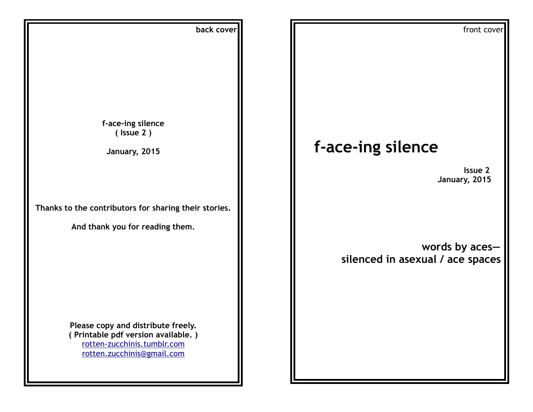| back cover                                            | front cover                      |
|-------------------------------------------------------|----------------------------------|
|                                                       |                                  |
|                                                       |                                  |
|                                                       |                                  |
|                                                       |                                  |
|                                                       |                                  |
|                                                       |                                  |
|                                                       |                                  |
| f-ace-ing silence<br>$($ Issue 2)                     |                                  |
|                                                       |                                  |
| January, 2015                                         | f-ace-ing silence                |
|                                                       | Issue 2                          |
|                                                       | January, 2015                    |
|                                                       |                                  |
| Thanks to the contributors for sharing their stories. |                                  |
|                                                       |                                  |
| And thank you for reading them.                       |                                  |
|                                                       | words by aces-                   |
|                                                       | silenced in asexual / ace spaces |
|                                                       |                                  |
|                                                       |                                  |
|                                                       |                                  |
|                                                       |                                  |
| Please copy and distribute freely.                    |                                  |
| (Printable pdf version available.)                    |                                  |
| rotten-zucchinis.tumblr.com                           |                                  |
| rotten.zucchinis@gmail.com                            |                                  |
|                                                       |                                  |
|                                                       |                                  |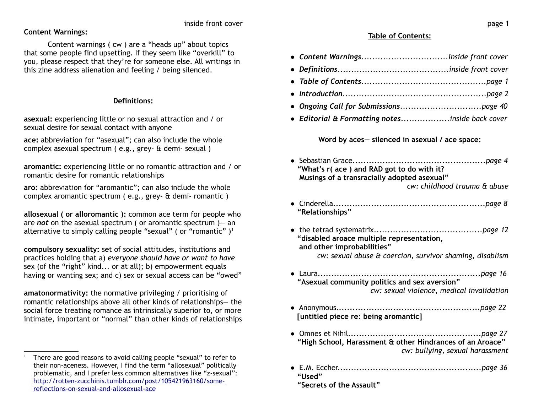# **Content Warnings:**

Content warnings ( cw ) are a "heads up" about topics that some people find upsetting. If they seem like "overkill" to you, please respect that they're for someone else. All writings in this zine address alienation and feeling / being silenced.

# **Definitions:**

**asexual:** experiencing little or no sexual attraction and / or sexual desire for sexual contact with anyone

**ace:** abbreviation for "asexual"; can also include the whole complex asexual spectrum ( e.g., grey- & demi- sexual )

**aromantic:** experiencing little or no romantic attraction and / or romantic desire for romantic relationships

**aro:** abbreviation for "aromantic"; can also include the whole complex aromantic spectrum ( e.g., grey- & demi- romantic )

**allosexual ( or alloromantic ):** common ace term for people who are *not* on the asexual spectrum ( or aromantic spectrum )— an alternative to simply calling people "sexual" (or "romantic")<sup>[1](#page-1-0)</sup>

**compulsory sexuality:** set of social attitudes, institutions and practices holding that a) *everyone should have or want to have* sex (of the "right" kind... or at all); b) empowerment equals having or wanting sex; and c) sex or sexual access can be "owed"

**amatonormativity:** the normative privileging / prioritising of romantic relationships above all other kinds of relationships— the social force treating romance as intrinsically superior to, or more intimate, important or "normal" than other kinds of relationships

# **Table of Contents:**

- *Content Warnings................................inside front cover*
- *Definitions.........................................inside front cover*
- *Table of Contents..............................................page 1*
- *Introduction.....................................................page 2*
- *Ongoing Call for Submissions..............................page 40*
- *Editorial & Formatting notes..................inside back cover*

**Word by aces— silenced in asexual / ace space:**

- Sebastian Grace*.................................................page 4* **"What's r( ace ) and RAD got to do with it? Musings of a transracially adopted asexual"** *cw: childhood trauma & abuse*
- Cinderella*........................................................page 8* **"Relationships"**
- the tetrad systematrix*........................................page 12*  **"disabled aroace multiple representation, and other improbabilities"** *cw: sexual abuse & coercion, survivor shaming, disablism*
- Laura*............................................................page 16*  **"Asexual community politics and sex aversion"** *cw: sexual violence, medical invalidation*
- Anonymous*.....................................................page 22* **[untitled piece re: being aromantic]**
- Omnes et Nihil*.................................................page 27* **"High School, Harassment & other Hindrances of an Aroace"** *cw: bullying, sexual harassment*
- E.M. Eccher.*....................................................page 36* **"Used"**
	- **"Secrets of the Assault"**

<span id="page-1-0"></span><sup>1</sup> There are good reasons to avoid calling people "sexual" to refer to their non-aceness. However, I find the term "allosexual" politically problematic, and I prefer less common alternatives like "z-sexual": [http://rotten-zucchinis.tumblr.com/post/105421963160/some](http://rotten-zucchinis.tumblr.com/post/105421963160/some-reflections-on-sexual-and-allosexual-ace)[reflections-on-sexual-and-allosexual-ace](http://rotten-zucchinis.tumblr.com/post/105421963160/some-reflections-on-sexual-and-allosexual-ace)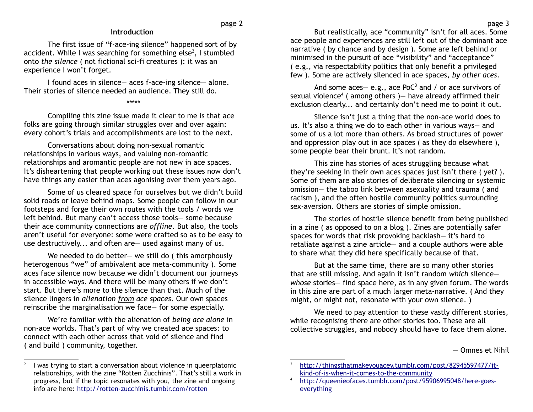# **Introduction**

The first issue of "f-ace-ing silence" happened sort of by accident. While I was searching for something else $2$ , I stumbled onto *the silence* ( not fictional sci-fi creatures ): it was an experience I won't forget.

I found aces in silence— aces f-ace-ing silence— alone. Their stories of silence needed an audience. They still do.

\*\*\*\*\*

Compiling this zine issue made it clear to me is that ace folks are going through similar struggles over and over again: every cohort's trials and accomplishments are lost to the next.

Conversations about doing non-sexual romantic relationships in various ways, and valuing non-romantic relationships and aromantic people are not new in ace spaces. It's disheartening that people working out these issues now don't have things any easier than aces agonising over them years ago.

Some of us cleared space for ourselves but we didn't build solid roads or leave behind maps. Some people can follow in our footsteps and forge their own routes with the tools / words we left behind. But many can't access those tools— some because their ace community connections are *offline*. But also, the tools aren't useful for everyone: some were crafted so as to be easy to use destructively... and often are— used against many of us.

We needed to do better- we still do (this amorphously heterogenous "we" of ambivalent ace meta-community ). Some aces face silence now because we didn't document our journeys in accessible ways. And there will be many others if we don't start. But there's more to the silence than that. Much of the silence lingers in *alienation from ace spaces*. Our own spaces reinscribe the marginalisation we face— for some especially.

We're familiar with the alienation of *being ace alone* in non-ace worlds. That's part of why we created ace spaces: to connect with each other across that void of silence and find ( and build ) community, together.

But realistically, ace "community" isn't for all aces. Some ace people and experiences are still left out of the dominant ace narrative ( by chance and by design ). Some are left behind or minimised in the pursuit of ace "visibility" and "acceptance" ( e.g., via respectability politics that only benefit a privileged few ). Some are actively silenced in ace spaces, *by other aces*.

And some  $aces - e.g.,$  ace PoC<sup>[3](#page-2-1)</sup> and / or ace survivors of sexual violence<sup>[4](#page-2-2)</sup> (among others) – have already affirmed their exclusion clearly... and certainly don't need me to point it out.

Silence isn't just a thing that the non-ace world does to us. It's also a thing we do to each other in various ways— and some of us a lot more than others. As broad structures of power and oppression play out in ace spaces ( as they do elsewhere ), some people bear their brunt. It's not random.

This zine has stories of aces struggling because what they're seeking in their own aces spaces just isn't there ( yet? ). Some of them are also stories of deliberate silencing or systemic omission— the taboo link between asexuality and trauma ( and racism ), and the often hostile community politics surrounding sex-aversion. Others are stories of simple omission.

The stories of hostile silence benefit from being published in a zine ( as opposed to on a blog ). Zines are potentially safer spaces for words that risk provoking backlash— it's hard to retaliate against a zine article— and a couple authors were able to share what they did here specifically because of that.

But at the same time, there are so many other stories that are still missing. And again it isn't random *which* silence *whose* stories— find space here, as in any given forum. The words in this zine are part of a much larger meta-narrative. ( And they might, or might not, resonate with your own silence. )

We need to pay attention to these vastly different stories, while recognising there are other stories too. These are all collective struggles, and nobody should have to face them alone.

— Omnes et Nihil

<span id="page-2-0"></span><sup>2</sup> I was trying to start a conversation about violence in queerplatonic relationships, with the zine "Rotten Zucchinis". That's still a work in progress, but if the topic resonates with you, the zine and ongoing info are here:<http://rotten-zucchinis.tumblr.com/rotten>

<span id="page-2-1"></span>[http://thingsthatmakeyouacey.tumblr.com/post/82945597477/it](http://thingsthatmakeyouacey.tumblr.com/post/82945597477/it-kind-of-is-when-it-comes-to-the-community)[kind-of-is-when-it-comes-to-the-community](http://thingsthatmakeyouacey.tumblr.com/post/82945597477/it-kind-of-is-when-it-comes-to-the-community)

<span id="page-2-2"></span>[http://queenieofaces.tumblr.com/post/95906995048/here-goes](http://queenieofaces.tumblr.com/post/95906995048/here-goes-everything)[everything](http://queenieofaces.tumblr.com/post/95906995048/here-goes-everything)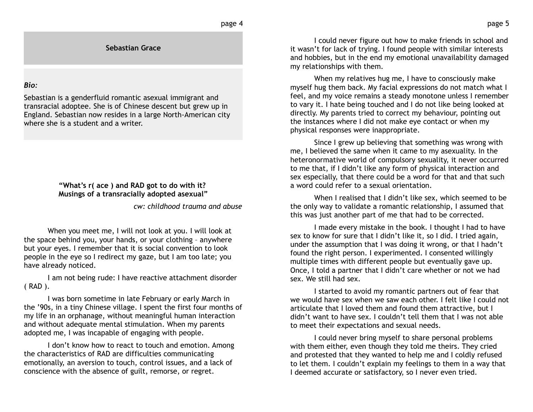**Sebastian Grace**

### *Bio:*

Sebastian is a genderfluid romantic asexual immigrant and transracial adoptee. She is of Chinese descent but grew up in England. Sebastian now resides in a large North-American city where she is a student and a writer.

## **"What's r( ace ) and RAD got to do with it? Musings of a transracially adopted asexual"**

*cw: childhood trauma and abuse*

When you meet me, I will not look at you. I will look at the space behind you, your hands, or your clothing – anywhere but your eyes. I remember that it is social convention to look people in the eye so I redirect my gaze, but I am too late; you have already noticed.

I am not being rude: I have reactive attachment disorder ( RAD ).

I was born sometime in late February or early March in the '90s, in a tiny Chinese village. I spent the first four months of my life in an orphanage, without meaningful human interaction and without adequate mental stimulation. When my parents adopted me, I was incapable of engaging with people.

I don't know how to react to touch and emotion. Among the characteristics of RAD are difficulties communicating emotionally, an aversion to touch, control issues, and a lack of conscience with the absence of guilt, remorse, or regret.

I could never figure out how to make friends in school and it wasn't for lack of trying. I found people with similar interests and hobbies, but in the end my emotional unavailability damaged my relationships with them.

When my relatives hug me, I have to consciously make myself hug them back. My facial expressions do not match what I feel, and my voice remains a steady monotone unless I remember to vary it. I hate being touched and I do not like being looked at directly. My parents tried to correct my behaviour, pointing out the instances where I did not make eye contact or when my physical responses were inappropriate.

Since I grew up believing that something was wrong with me, I believed the same when it came to my asexuality. In the heteronormative world of compulsory sexuality, it never occurred to me that, if I didn't like any form of physical interaction and sex especially, that there could be a word for that and that such a word could refer to a sexual orientation.

When I realised that I didn't like sex, which seemed to be the only way to validate a romantic relationship, I assumed that this was just another part of me that had to be corrected.

I made every mistake in the book. I thought I had to have sex to know for sure that I didn't like it, so I did. I tried again, under the assumption that I was doing it wrong, or that I hadn't found the right person. I experimented. I consented willingly multiple times with different people but eventually gave up. Once, I told a partner that I didn't care whether or not we had sex. We still had sex.

I started to avoid my romantic partners out of fear that we would have sex when we saw each other. I felt like I could not articulate that I loved them and found them attractive, but I didn't want to have sex. I couldn't tell them that I was not able to meet their expectations and sexual needs.

I could never bring myself to share personal problems with them either, even though they told me theirs. They cried and protested that they wanted to help me and I coldly refused to let them. I couldn't explain my feelings to them in a way that I deemed accurate or satisfactory, so I never even tried.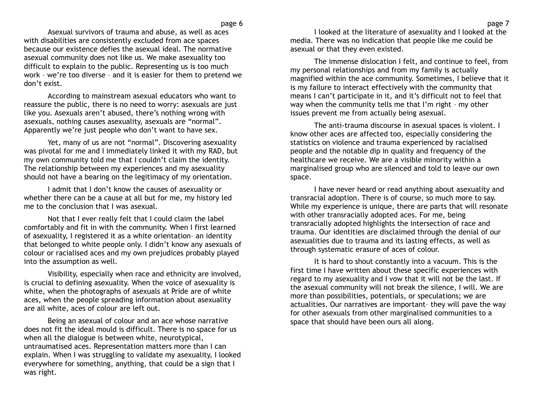Asexual survivors of trauma and abuse, as well as aces with disabilities are consistently excluded from ace spaces because our existence defies the asexual ideal. The normative asexual community does not like us. We make asexuality too difficult to explain to the public. Representing us is too much work – we're too diverse – and it is easier for them to pretend we don't exist.

According to mainstream asexual educators who want to reassure the public, there is no need to worry: asexuals are just like you. Asexuals aren't abused, there's nothing wrong with asexuals, nothing causes asexuality, asexuals are "normal". Apparently we're just people who don't want to have sex.

Yet, many of us are not "normal". Discovering asexuality was pivotal for me and I immediately linked it with my RAD, but my own community told me that I couldn't claim the identity. The relationship between my experiences and my asexuality should not have a bearing on the legitimacy of my orientation.

I admit that I don't know the causes of asexuality or whether there can be a cause at all but for me, my history led me to the conclusion that I was asexual.

Not that I ever really felt that I could claim the label comfortably and fit in with the community. When I first learned of asexuality, I registered it as a white orientation– an identity that belonged to white people only. I didn't know any asexuals of colour or racialised aces and my own prejudices probably played into the assumption as well.

Visibility, especially when race and ethnicity are involved, is crucial to defining asexuality. When the voice of asexuality is white, when the photographs of asexuals at Pride are of white aces, when the people spreading information about asexuality are all white, aces of colour are left out.

Being an asexual of colour and an ace whose narrative does not fit the ideal mould is difficult. There is no space for us when all the dialogue is between white, neurotypical, untraumatised aces. Representation matters more than I can explain. When I was struggling to validate my asexuality, I looked everywhere for something, anything, that could be a sign that I was right.

I looked at the literature of asexuality and I looked at the media. There was no indication that people like me could be asexual or that they even existed.

The immense dislocation I felt, and continue to feel, from my personal relationships and from my family is actually magnified within the ace community. Sometimes, I believe that it is my failure to interact effectively with the community that means I can't participate in it, and it's difficult not to feel that way when the community tells me that I'm right – my other issues prevent me from actually being asexual.

The anti-trauma discourse in asexual spaces is violent. I know other aces are affected too, especially considering the statistics on violence and trauma experienced by racialised people and the notable dip in quality and frequency of the healthcare we receive. We are a visible minority within a marginalised group who are silenced and told to leave our own space.

I have never heard or read anything about asexuality and transracial adoption. There is of course, so much more to say. While my experience is unique, there are parts that will resonate with other transracially adopted aces. For me, being transracially adopted highlights the intersection of race and trauma. Our identities are disclaimed through the denial of our asexualities due to trauma and its lasting effects, as well as through systematic erasure of aces of colour.

It is hard to shout constantly into a vacuum. This is the first time I have written about these specific experiences with regard to my asexuality and I vow that it will not be the last. If the asexual community will not break the silence, I will. We are more than possibilities, potentials, or speculations; we are actualities. Our narratives are important– they will pave the way for other asexuals from other marginalised communities to a space that should have been ours all along.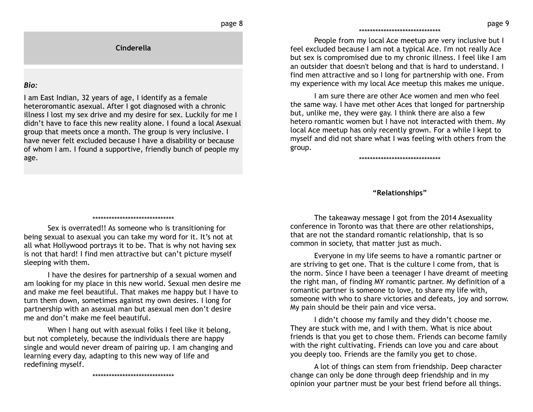### \*\*\*\*\*\*\*\*\*\*\*\*\*\*\*\*\*\*\*\*\*\*\*\*\*\*\*\*\*\*

People from my local Ace meetup are very inclusive but I feel excluded because I am not a typical Ace. I'm not really Ace but sex is compromised due to my chronic illness. I feel like I am an outsider that doesn't belong and that is hard to understand. I find men attractive and so I long for partnership with one. From my experience with my local Ace meetup this makes me unique.

I am sure there are other Ace women and men who feel the same way. I have met other Aces that longed for partnership but, unlike me, they were gay. I think there are also a few hetero romantic women but I have not interacted with them. My local Ace meetup has only recently grown. For a while I kept to myself and did not share what I was feeling with others from the group.

\*\*\*\*\*\*\*\*\*\*\*\*\*\*\*\*\*\*\*\*\*\*\*\*\*\*\*\*\*\*

### **"Relationships"**

\*\*\*\*\*\*\*\*\*\*\*\*\*\*\*\*\*\*\*\*\*\*\*\*\*\*\*\*\*\*

**Cinderella**

I am East Indian, 32 years of age, I identify as a female heteroromantic asexual. After I got diagnosed with a chronic illness I lost my sex drive and my desire for sex. Luckily for me I didn't have to face this new reality alone. I found a local Asexual group that meets once a month. The group is very inclusive. I have never felt excluded because I have a disability or because of whom I am. I found a supportive, friendly bunch of people my

*Bio:*

age.

Sex is overrated!! As someone who is transitioning for being sexual to asexual you can take my word for it. It's not at all what Hollywood portrays it to be. That is why not having sex is not that hard! I find men attractive but can't picture myself sleeping with them.

I have the desires for partnership of a sexual women and am looking for my place in this new world. Sexual men desire me and make me feel beautiful. That makes me happy but I have to turn them down, sometimes against my own desires. I long for partnership with an asexual man but asexual men don't desire me and don't make me feel beautiful.

When I hang out with asexual folks I feel like it belong, but not completely, because the individuals there are happy single and would never dream of pairing up. I am changing and learning every day, adapting to this new way of life and redefining myself.

\*\*\*\*\*\*\*\*\*\*\*\*\*\*\*\*\*\*\*\*\*\*\*\*\*\*\*\*\*\*

The takeaway message I got from the 2014 Asexuality conference in Toronto was that there are other relationships, that are not the standard romantic relationship, that is so common in society, that matter just as much.

Everyone in my life seems to have a romantic partner or are striving to get one. That is the culture I come from, that is the norm. Since I have been a teenager I have dreamt of meeting the right man, of finding MY romantic partner. My definition of a romantic partner is someone to love, to share my life with, someone with who to share victories and defeats, joy and sorrow. My pain should be their pain and vice versa.

I didn't choose my family and they didn't choose me. They are stuck with me, and I with them. What is nice about friends is that you get to chose them. Friends can become family with the right cultivating. Friends can love you and care about you deeply too. Friends are the family you get to chose.

A lot of things can stem from friendship. Deep character change can only be done through deep friendship and in my opinion your partner must be your best friend before all things.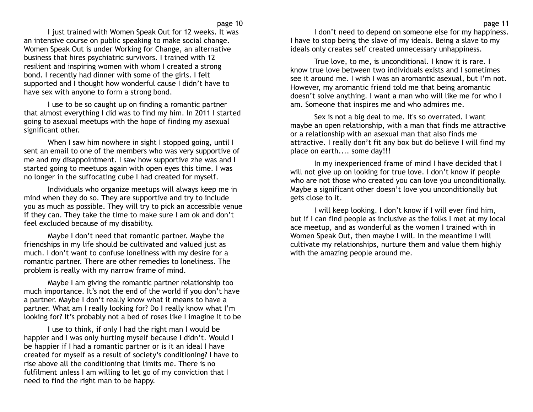I just trained with Women Speak Out for 12 weeks. It was an intensive course on public speaking to make social change. Women Speak Out is under Working for Change, an alternative business that hires psychiatric survivors. I trained with 12 resilient and inspiring women with whom I created a strong bond. I recently had dinner with some of the girls. I felt supported and I thought how wonderful cause I didn't have to have sex with anyone to form a strong bond.

I use to be so caught up on finding a romantic partner that almost everything I did was to find my him. In 2011 I started going to asexual meetups with the hope of finding my asexual significant other.

When I saw him nowhere in sight I stopped going, until I sent an email to one of the members who was very supportive of me and my disappointment. I saw how supportive zhe was and I started going to meetups again with open eyes this time. I was no longer in the suffocating cube I had created for myself.

Individuals who organize meetups will always keep me in mind when they do so. They are supportive and try to include you as much as possible. They will try to pick an accessible venue if they can. They take the time to make sure I am ok and don't feel excluded because of my disability.

Maybe I don't need that romantic partner. Maybe the friendships in my life should be cultivated and valued just as much. I don't want to confuse loneliness with my desire for a romantic partner. There are other remedies to loneliness. The problem is really with my narrow frame of mind.

Maybe I am giving the romantic partner relationship too much importance. It's not the end of the world if you don't have a partner. Maybe I don't really know what it means to have a partner. What am I really looking for? Do I really know what I'm looking for? It's probably not a bed of roses like I imagine it to be

I use to think, if only I had the right man I would be happier and I was only hurting myself because I didn't. Would I be happier if I had a romantic partner or is it an ideal I have created for myself as a result of society's conditioning? I have to rise above all the conditioning that limits me. There is no fulfilment unless I am willing to let go of my conviction that I need to find the right man to be happy.

I don't need to depend on someone else for my happiness. I have to stop being the slave of my ideals. Being a slave to my ideals only creates self created unnecessary unhappiness.

True love, to me, is unconditional. I know it is rare. I know true love between two individuals exists and I sometimes see it around me. I wish I was an aromantic asexual, but I'm not. However, my aromantic friend told me that being aromantic doesn't solve anything. I want a man who will like me for who I am. Someone that inspires me and who admires me.

Sex is not a big deal to me. It's so overrated. I want maybe an open relationship, with a man that finds me attractive or a relationship with an asexual man that also finds me attractive. I really don't fit any box but do believe I will find my place on earth.... some day!!!

In my inexperienced frame of mind I have decided that I will not give up on looking for true love. I don't know if people who are not those who created you can love you unconditionally. Maybe a significant other doesn't love you unconditionally but gets close to it.

I will keep looking. I don't know if I will ever find him, but if I can find people as inclusive as the folks I met at my local ace meetup, and as wonderful as the women I trained with in Women Speak Out, then maybe I will. In the meantime I will cultivate my relationships, nurture them and value them highly with the amazing people around me.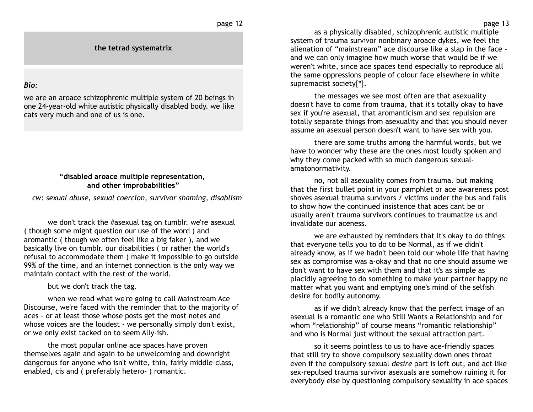**the tetrad systematrix**

## *Bio:*

we are an aroace schizophrenic multiple system of 20 beings in one 24-year-old white autistic physically disabled body. we like cats very much and one of us is one.

## **"disabled aroace multiple representation, and other improbabilities"**

 *cw: sexual abuse, sexual coercion, survivor shaming, disablism*

we don't track the #asexual tag on tumblr. we're asexual ( though some might question our use of the word ) and aromantic ( though we often feel like a big faker ), and we basically live on tumblr. our disabilities ( or rather the world's refusal to accommodate them ) make it impossible to go outside 99% of the time, and an internet connection is the only way we maintain contact with the rest of the world.

but we don't track the tag.

when we read what we're going to call Mainstream Ace Discourse, we're faced with the reminder that to the majority of aces - or at least those whose posts get the most notes and whose voices are the loudest - we personally simply don't exist, or we only exist tacked on to seem Ally-ish.

the most popular online ace spaces have proven themselves again and again to be unwelcoming and downright dangerous for anyone who isn't white, thin, fairly middle-class, enabled, cis and ( preferably hetero- ) romantic.

as a physically disabled, schizophrenic autistic multiple system of trauma survivor nonbinary aroace dykes, we feel the alienation of "mainstream" ace discourse like a slap in the face and we can only imagine how much worse that would be if we weren't white, since ace spaces tend especially to reproduce all the same oppressions people of colour face elsewhere in white supremacist society[\*].

the messages we see most often are that asexuality doesn't have to come from trauma, that it's totally okay to have sex if you're asexual, that aromanticism and sex repulsion are totally separate things from asexuality and that you should never assume an asexual person doesn't want to have sex with you.

there are some truths among the harmful words, but we have to wonder why these are the ones most loudly spoken and why they come packed with so much dangerous sexualamatonormativity.

no, not all asexuality comes from trauma. but making that the first bullet point in your pamphlet or ace awareness post shoves asexual trauma survivors / victims under the bus and fails to show how the continued insistence that aces cant be or usually aren't trauma survivors continues to traumatize us and invalidate our aceness.

we are exhausted by reminders that it's okay to do things that everyone tells you to do to be Normal, as if we didn't already know, as if we hadn't been told our whole life that having sex as compromise was a-okay and that no one should assume we don't want to have sex with them and that it's as simple as placidly agreeing to do something to make your partner happy no matter what you want and emptying one's mind of the selfish desire for bodily autonomy.

as if we didn't already know that the perfect image of an asexual is a romantic one who Still Wants a Relationship and for whom "relationship" of course means "romantic relationship" and who is Normal just without the sexual attraction part.

so it seems pointless to us to have ace-friendly spaces that still try to shove compulsory sexuality down ones throat even if the compulsory sexual *desire* part is left out, and act like sex-repulsed trauma survivor asexuals are somehow ruining it for everybody else by questioning compulsory sexuality in ace spaces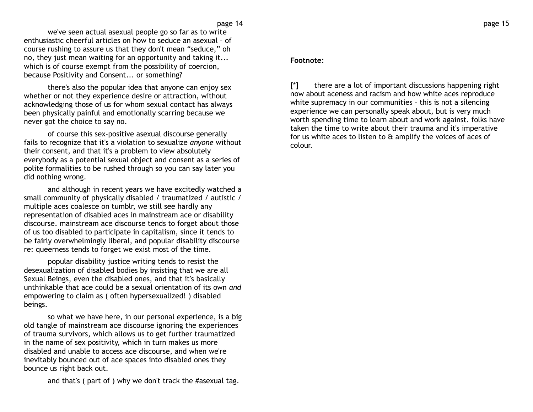we've seen actual asexual people go so far as to write enthusiastic cheerful articles on how to seduce an asexual – of course rushing to assure us that they don't mean "seduce," oh no, they just mean waiting for an opportunity and taking it... which is of course exempt from the possibility of coercion, because Positivity and Consent... or something?

there's also the popular idea that anyone can enjoy sex whether or not they experience desire or attraction, without acknowledging those of us for whom sexual contact has always been physically painful and emotionally scarring because we never got the choice to say no.

of course this sex-positive asexual discourse generally fails to recognize that it's a violation to sexualize *anyone* without their consent, and that it's a problem to view absolutely everybody as a potential sexual object and consent as a series of polite formalities to be rushed through so you can say later you did nothing wrong.

and although in recent years we have excitedly watched a small community of physically disabled / traumatized / autistic / multiple aces coalesce on tumblr, we still see hardly any representation of disabled aces in mainstream ace or disability discourse. mainstream ace discourse tends to forget about those of us too disabled to participate in capitalism, since it tends to be fairly overwhelmingly liberal, and popular disability discourse re: queerness tends to forget we exist most of the time.

popular disability justice writing tends to resist the desexualization of disabled bodies by insisting that we are all Sexual Beings, even the disabled ones, and that it's basically unthinkable that ace could be a sexual orientation of its own *and* empowering to claim as ( often hypersexualized! ) disabled beings.

so what we have here, in our personal experience, is a big old tangle of mainstream ace discourse ignoring the experiences of trauma survivors, which allows us to get further traumatized in the name of sex positivity, which in turn makes us more disabled and unable to access ace discourse, and when we're inevitably bounced out of ace spaces into disabled ones they bounce us right back out.

and that's ( part of ) why we don't track the #asexual tag.

## **Footnote:**

[\*] there are a lot of important discussions happening right now about aceness and racism and how white aces reproduce white supremacy in our communities – this is not a silencing experience we can personally speak about, but is very much worth spending time to learn about and work against. folks have taken the time to write about their trauma and it's imperative for us white aces to listen to  $\theta$  amplify the voices of aces of colour.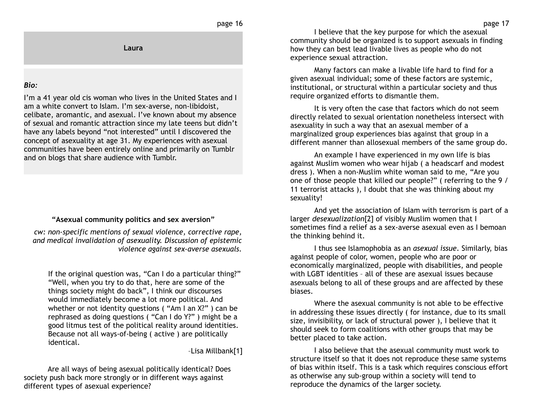### page 16

**Laura**

## *Bio:*

I'm a 41 year old cis woman who lives in the United States and I am a white convert to Islam. I'm sex-averse, non-libidoist, celibate, aromantic, and asexual. I've known about my absence of sexual and romantic attraction since my late teens but didn't have any labels beyond "not interested" until I discovered the concept of asexuality at age 31. My experiences with asexual communities have been entirely online and primarily on Tumblr and on blogs that share audience with Tumblr.

## **"Asexual community politics and sex aversion"**

*cw: non-specific mentions of sexual violence, corrective rape, and medical invalidation of asexuality. Discussion of epistemic violence against sex-averse asexuals.*

If the original question was, "Can I do a particular thing?" "Well, when you try to do that, here are some of the things society might do back", I think our discourses would immediately become a lot more political. And whether or not identity questions ( "Am I an X?" ) can be rephrased as doing questions ( "Can I do Y?" ) might be a good litmus test of the political reality around identities. Because not all ways-of-being ( active ) are politically identical.

–Lisa Millbank[1]

Are all ways of being asexual politically identical? Does society push back more strongly or in different ways against different types of asexual experience?

I believe that the key purpose for which the asexual community should be organized is to support asexuals in finding how they can best lead livable lives as people who do not experience sexual attraction.

Many factors can make a livable life hard to find for a given asexual individual; some of these factors are systemic, institutional, or structural within a particular society and thus require organized efforts to dismantle them.

It is very often the case that factors which do not seem directly related to sexual orientation nonetheless intersect with asexuality in such a way that an asexual member of a marginalized group experiences bias against that group in a different manner than allosexual members of the same group do.

An example I have experienced in my own life is bias against Muslim women who wear hijab ( a headscarf and modest dress ). When a non-Muslim white woman said to me, "Are you one of those people that killed our people?" ( referring to the 9 / 11 terrorist attacks ), I doubt that she was thinking about my sexuality!

And yet the association of Islam with terrorism is part of a larger *desexualization*[2] of visibly Muslim women that I sometimes find a relief as a sex-averse asexual even as I bemoan the thinking behind it.

I thus see Islamophobia as an *asexual issue*. Similarly, bias against people of color, women, people who are poor or economically marginalized, people with disabilities, and people with LGBT identities – all of these are asexual issues because asexuals belong to all of these groups and are affected by these biases.

Where the asexual community is not able to be effective in addressing these issues directly ( for instance, due to its small size, invisibility, or lack of structural power ), I believe that it should seek to form coalitions with other groups that may be better placed to take action.

I also believe that the asexual community must work to structure itself so that it does not reproduce these same systems of bias within itself. This is a task which requires conscious effort as otherwise any sub-group within a society will tend to reproduce the dynamics of the larger society.

page 17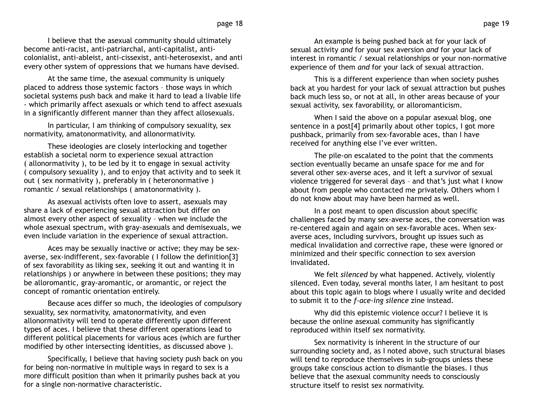I believe that the asexual community should ultimately become anti-racist, anti-patriarchal, anti-capitalist, anticolonialist, anti-ableist, anti-cissexist, anti-heterosexist, and anti every other system of oppressions that we humans have devised.

At the same time, the asexual community is uniquely placed to address those systemic factors – those ways in which societal systems push back and make it hard to lead a livable life - which primarily affect asexuals or which tend to affect asexuals in a significantly different manner than they affect allosexuals.

In particular, I am thinking of compulsory sexuality, sex normativity, amatonormativity, and allonormativity.

These ideologies are closely interlocking and together establish a societal norm to experience sexual attraction ( allonormativity ), to be led by it to engage in sexual activity ( compulsory sexuality ), and to enjoy that activity and to seek it out ( sex normativity ), preferably in ( heteronormative ) romantic / sexual relationships ( amatonormativity ).

As asexual activists often love to assert, asexuals may share a lack of experiencing sexual attraction but differ on almost every other aspect of sexuality – when we include the whole asexual spectrum, with gray-asexuals and demisexuals, we even include variation in the experience of sexual attraction.

Aces may be sexually inactive or active; they may be sexaverse, sex-indifferent, sex-favorable ( I follow the definition[3] of sex favorability as liking sex, seeking it out and wanting it in relationships ) or anywhere in between these positions; they may be alloromantic, gray-aromantic, or aromantic, or reject the concept of romantic orientation entirely.

Because aces differ so much, the ideologies of compulsory sexuality, sex normativity, amatonormativity, and even allonormativity will tend to operate differently upon different types of aces. I believe that these different operations lead to different political placements for various aces (which are further modified by other intersecting identities, as discussed above ).

Specifically, I believe that having society push back on you for being non-normative in multiple ways in regard to sex is a more difficult position than when it primarily pushes back at you for a single non-normative characteristic.

An example is being pushed back at for your lack of sexual activity *and* for your sex aversion *and* for your lack of interest in romantic / sexual relationships or your non-normative experience of them *and* for your lack of sexual attraction.

This is a different experience than when society pushes back at you hardest for your lack of sexual attraction but pushes back much less so, or not at all, in other areas because of your sexual activity, sex favorability, or alloromanticism.

When I said the above on a popular asexual blog, one sentence in a post[4] primarily about other topics, I got more pushback, primarily from sex-favorable aces, than I have received for anything else I've ever written.

The pile-on escalated to the point that the comments section eventually became an unsafe space for me and for several other sex-averse aces, and it left a survivor of sexual violence triggered for several days – and that's just what I know about from people who contacted me privately. Others whom I do not know about may have been harmed as well.

In a post meant to open discussion about specific challenges faced by many sex-averse aces, the conversation was re-centered again and again on sex-favorable aces. When sexaverse aces, including survivors, brought up issues such as medical invalidation and corrective rape, these were ignored or minimized and their specific connection to sex aversion invalidated.

We felt *silenced* by what happened. Actively, violently silenced. Even today, several months later, I am hesitant to post about this topic again to blogs where I usually write and decided to submit it to the *f-ace-ing silence* zine instead.

Why did this epistemic violence occur? I believe it is because the online asexual community has significantly reproduced within itself sex normativity.

Sex normativity is inherent in the structure of our surrounding society and, as I noted above, such structural biases will tend to reproduce themselves in sub-groups unless these groups take conscious action to dismantle the biases. I thus believe that the asexual community needs to consciously structure itself to resist sex normativity.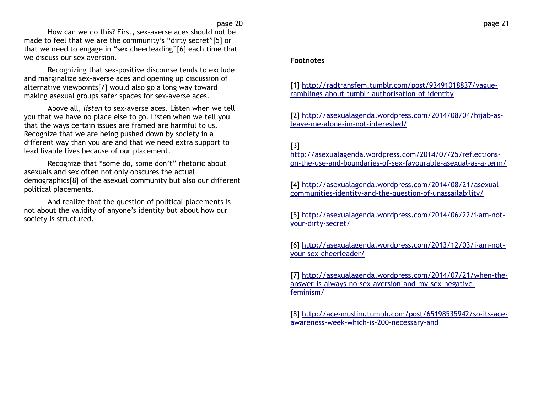How can we do this? First, sex-averse aces should not be made to feel that we are the community's "dirty secret"[5] or that we need to engage in "sex cheerleading"[6] each time that we discuss our sex aversion.

Recognizing that sex-positive discourse tends to exclude and marginalize sex-averse aces and opening up discussion of alternative viewpoints[7] would also go a long way toward making asexual groups safer spaces for sex-averse aces.

Above all, *listen* to sex-averse aces. Listen when we tell you that we have no place else to go. Listen when we tell you that the ways certain issues are framed are harmful to us. Recognize that we are being pushed down by society in a different way than you are and that we need extra support to lead livable lives because of our placement.

Recognize that "some do, some don't" rhetoric about asexuals and sex often not only obscures the actual demographics[8] of the asexual community but also our different political placements.

And realize that the question of political placements is not about the validity of anyone's identity but about how our society is structured.

# **Footnotes**

[1] [http://radtransfem.tumblr.com/post/93491018837/vague](http://radtransfem.tumblr.com/post/93491018837/vague-ramblings-about-tumblr-authorisation-of-identity)[ramblings-about-tumblr-authorisation-of-identity](http://radtransfem.tumblr.com/post/93491018837/vague-ramblings-about-tumblr-authorisation-of-identity)

[2] [http://asexualagenda.wordpress.com/2014/08/04/hijab-as](http://asexualagenda.wordpress.com/2014/08/04/hijab-as-leave-me-alone-im-not-interested/)[leave-me-alone-im-not-interested/](http://asexualagenda.wordpress.com/2014/08/04/hijab-as-leave-me-alone-im-not-interested/)

# [3]

[http://asexualagenda.wordpress.com/2014/07/25/reflections](http://asexualagenda.wordpress.com/2014/07/25/reflections-on-the-use-and-boundaries-of-sex-favourable-asexual-as-a-term/)[on-the-use-and-boundaries-of-sex-favourable-asexual-as-a-term/](http://asexualagenda.wordpress.com/2014/07/25/reflections-on-the-use-and-boundaries-of-sex-favourable-asexual-as-a-term/)

[4] [http://asexualagenda.wordpress.com/2014/08/21/asexual](http://asexualagenda.wordpress.com/2014/08/21/asexual-communities-identity-and-the-question-of-unassailability/)[communities-identity-and-the-question-of-unassailability/](http://asexualagenda.wordpress.com/2014/08/21/asexual-communities-identity-and-the-question-of-unassailability/)

[5] [http://asexualagenda.wordpress.com/2014/06/22/i-am-not](http://asexualagenda.wordpress.com/2014/06/22/i-am-not-your-dirty-secret/)[your-dirty-secret/](http://asexualagenda.wordpress.com/2014/06/22/i-am-not-your-dirty-secret/)

[6] [http://asexualagenda.wordpress.com/2013/12/03/i-am-not](http://asexualagenda.wordpress.com/2013/12/03/i-am-not-your-sex-cheerleader/)[your-sex-cheerleader/](http://asexualagenda.wordpress.com/2013/12/03/i-am-not-your-sex-cheerleader/)

[7] [http://asexualagenda.wordpress.com/2014/07/21/when-the](http://asexualagenda.wordpress.com/2014/07/21/when-the-answer-is-always-no-sex-aversion-and-my-sex-negative-feminism/)[answer-is-always-no-sex-aversion-and-my-sex-negative](http://asexualagenda.wordpress.com/2014/07/21/when-the-answer-is-always-no-sex-aversion-and-my-sex-negative-feminism/)[feminism/](http://asexualagenda.wordpress.com/2014/07/21/when-the-answer-is-always-no-sex-aversion-and-my-sex-negative-feminism/)

[8] [http://ace-muslim.tumblr.com/post/65198535942/so-its-ace](http://ace-muslim.tumblr.com/post/65198535942/so-its-ace-awareness-week-which-is-200-necessary-and)[awareness-week-which-is-200-necessary-and](http://ace-muslim.tumblr.com/post/65198535942/so-its-ace-awareness-week-which-is-200-necessary-and)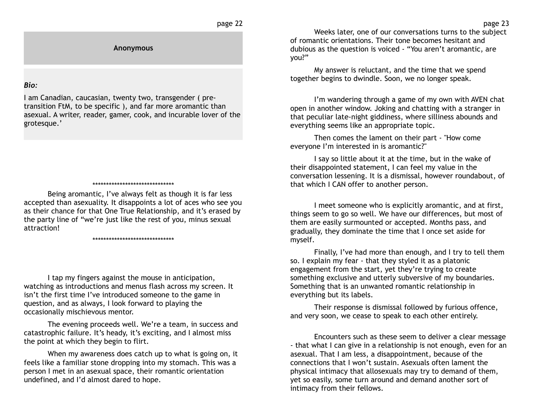page 22

**Anonymous**

### *Bio:*

I am Canadian, caucasian, twenty two, transgender ( pretransition FtM, to be specific ), and far more aromantic than asexual. A writer, reader, gamer, cook, and incurable lover of the grotesque.'

#### \*\*\*\*\*\*\*\*\*\*\*\*\*\*\*\*\*\*\*\*\*\*\*\*\*\*\*\*\*\*

Being aromantic, I've always felt as though it is far less accepted than asexuality. It disappoints a lot of aces who see you as their chance for that One True Relationship, and it's erased by the party line of "we're just like the rest of you, minus sexual attraction!

#### \*\*\*\*\*\*\*\*\*\*\*\*\*\*\*\*\*\*\*\*\*\*\*\*\*\*\*\*\*\*

I tap my fingers against the mouse in anticipation, watching as introductions and menus flash across my screen. It isn't the first time I've introduced someone to the game in question, and as always, I look forward to playing the occasionally mischievous mentor.

The evening proceeds well. We're a team, in success and catastrophic failure. It's heady, it's exciting, and I almost miss the point at which they begin to flirt.

When my awareness does catch up to what is going on, it feels like a familiar stone dropping into my stomach. This was a person I met in an asexual space, their romantic orientation undefined, and I'd almost dared to hope.

Weeks later, one of our conversations turns to the subject of romantic orientations. Their tone becomes hesitant and dubious as the question is voiced - "You aren't aromantic, are you?"

My answer is reluctant, and the time that we spend together begins to dwindle. Soon, we no longer speak.

I'm wandering through a game of my own with AVEN chat open in another window. Joking and chatting with a stranger in that peculiar late-night giddiness, where silliness abounds and everything seems like an appropriate topic.

Then comes the lament on their part - "How come everyone I'm interested in is aromantic?"

I say so little about it at the time, but in the wake of their disappointed statement, I can feel my value in the conversation lessening. It is a dismissal, however roundabout, of that which I CAN offer to another person.

I meet someone who is explicitly aromantic, and at first, things seem to go so well. We have our differences, but most of them are easily surmounted or accepted. Months pass, and gradually, they dominate the time that I once set aside for myself.

Finally, I've had more than enough, and I try to tell them so. I explain my fear - that they styled it as a platonic engagement from the start, yet they're trying to create something exclusive and utterly subversive of my boundaries. Something that is an unwanted romantic relationship in everything but its labels.

Their response is dismissal followed by furious offence, and very soon, we cease to speak to each other entirely.

Encounters such as these seem to deliver a clear message - that what I can give in a relationship is not enough, even for an asexual. That I am less, a disappointment, because of the connections that I won't sustain. Asexuals often lament the physical intimacy that allosexuals may try to demand of them, yet so easily, some turn around and demand another sort of intimacy from their fellows.

page 23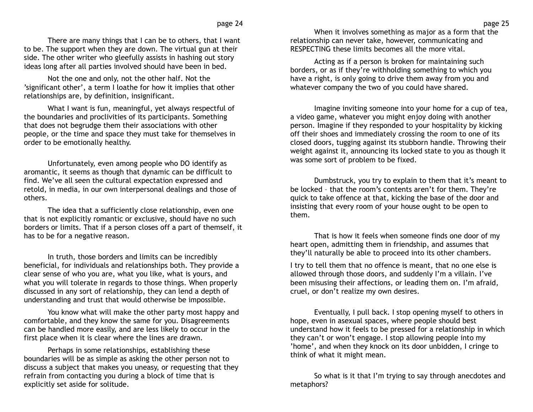There are many things that I can be to others, that I want to be. The support when they are down. The virtual gun at their side. The other writer who gleefully assists in hashing out story ideas long after all parties involved should have been in bed.

Not the one and only, not the other half. Not the 'significant other', a term I loathe for how it implies that other relationships are, by definition, insignificant.

What I want is fun, meaningful, yet always respectful of the boundaries and proclivities of its participants. Something that does not begrudge them their associations with other people, or the time and space they must take for themselves in order to be emotionally healthy.

Unfortunately, even among people who DO identify as aromantic, it seems as though that dynamic can be difficult to find. We've all seen the cultural expectation expressed and retold, in media, in our own interpersonal dealings and those of others.

The idea that a sufficiently close relationship, even one that is not explicitly romantic or exclusive, should have no such borders or limits. That if a person closes off a part of themself, it has to be for a negative reason.

In truth, those borders and limits can be incredibly beneficial, for individuals and relationships both. They provide a clear sense of who you are, what you like, what is yours, and what you will tolerate in regards to those things. When properly discussed in any sort of relationship, they can lend a depth of understanding and trust that would otherwise be impossible.

You know what will make the other party most happy and comfortable, and they know the same for you. Disagreements can be handled more easily, and are less likely to occur in the first place when it is clear where the lines are drawn.

Perhaps in some relationships, establishing these boundaries will be as simple as asking the other person not to discuss a subject that makes you uneasy, or requesting that they refrain from contacting you during a block of time that is explicitly set aside for solitude.

When it involves something as major as a form that the relationship can never take, however, communicating and RESPECTING these limits becomes all the more vital.

Acting as if a person is broken for maintaining such borders, or as if they're withholding something to which you have a right, is only going to drive them away from you and whatever company the two of you could have shared.

Imagine inviting someone into your home for a cup of tea, a video game, whatever you might enjoy doing with another person. Imagine if they responded to your hospitality by kicking off their shoes and immediately crossing the room to one of its closed doors, tugging against its stubborn handle. Throwing their weight against it, announcing its locked state to you as though it was some sort of problem to be fixed.

Dumbstruck, you try to explain to them that it's meant to be locked – that the room's contents aren't for them. They're quick to take offence at that, kicking the base of the door and insisting that every room of your house ought to be open to them.

That is how it feels when someone finds one door of my heart open, admitting them in friendship, and assumes that they'll naturally be able to proceed into its other chambers.

I try to tell them that no offence is meant, that no one else is allowed through those doors, and suddenly I'm a villain. I've been misusing their affections, or leading them on. I'm afraid, cruel, or don't realize my own desires.

Eventually, I pull back. I stop opening myself to others in hope, even in asexual spaces, where people should best understand how it feels to be pressed for a relationship in which they can't or won't engage. I stop allowing people into my 'home', and when they knock on its door unbidden, I cringe to think of what it might mean.

So what is it that I'm trying to say through anecdotes and metaphors?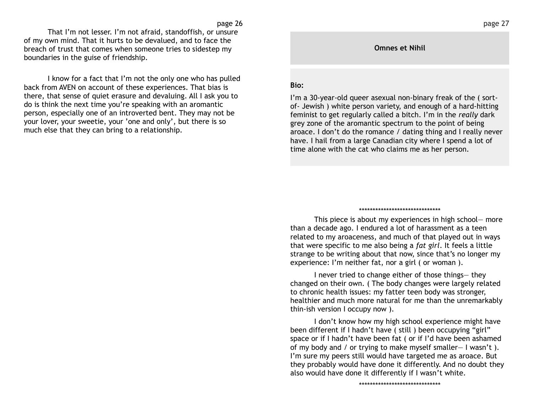That I'm not lesser. I'm not afraid, standoffish, or unsure of my own mind. That it hurts to be devalued, and to face the breach of trust that comes when someone tries to sidestep my boundaries in the guise of friendship.

I know for a fact that I'm not the only one who has pulled back from AVEN on account of these experiences. That bias is there, that sense of quiet erasure and devaluing. All I ask you to do is think the next time you're speaking with an aromantic person, especially one of an introverted bent. They may not be your lover, your sweetie, your 'one and only', but there is so much else that they can bring to a relationship.

### **Omnes et Nihil**

### **Bio:**

I'm a 30-year-old queer asexual non-binary freak of the ( sortof- Jewish ) white person variety, and enough of a hard-hitting feminist to get regularly called a bitch. I'm in the *really* dark grey zone of the aromantic spectrum to the point of being aroace. I don't do the romance / dating thing and I really never have. I hail from a large Canadian city where I spend a lot of time alone with the cat who claims me as her person.

#### \*\*\*\*\*\*\*\*\*\*\*\*\*\*\*\*\*\*\*\*\*\*\*\*\*\*\*\*\*\*

This piece is about my experiences in high school— more than a decade ago. I endured a lot of harassment as a teen related to my aroaceness, and much of that played out in ways that were specific to me also being a *fat girl*. It feels a little strange to be writing about that now, since that's no longer my experience: I'm neither fat, nor a girl ( or woman ).

I never tried to change either of those things— they changed on their own. ( The body changes were largely related to chronic health issues: my fatter teen body was stronger, healthier and much more natural for me than the unremarkably thin-ish version I occupy now ).

I don't know how my high school experience might have been different if I hadn't have ( still ) been occupying "girl" space or if I hadn't have been fat ( or if I'd have been ashamed of my body and / or trying to make myself smaller— I wasn't ). I'm sure my peers still would have targeted me as aroace. But they probably would have done it differently. And no doubt they also would have done it differently if I wasn't white.

\*\*\*\*\*\*\*\*\*\*\*\*\*\*\*\*\*\*\*\*\*\*\*\*\*\*\*\*\*\*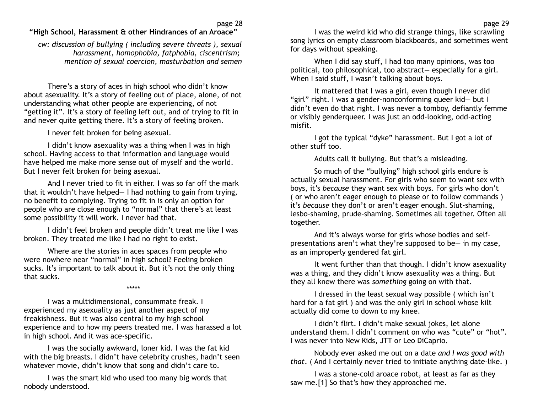# **"High School, Harassment & other Hindrances of an Aroace"**

*cw: discussion of bullying ( including severe threats ), sexual harassment, homophobia, fatphobia, ciscentrism; mention of sexual coercion, masturbation and semen*

There's a story of aces in high school who didn't know about asexuality. It's a story of feeling out of place, alone, of not understanding what other people are experiencing, of not "getting it". It's a story of feeling left out, and of trying to fit in and never quite getting there. It's a story of feeling broken.

I never felt broken for being asexual.

I didn't know asexuality was a thing when I was in high school. Having access to that information and language would have helped me make more sense out of myself and the world. But I never felt broken for being asexual.

And I never tried to fit in either. I was so far off the mark that it wouldn't have helped— I had nothing to gain from trying, no benefit to complying. Trying to fit in is only an option for people who are close enough to "normal" that there's at least some possibility it will work. I never had that.

I didn't feel broken and people didn't treat me like I was broken. They treated me like I had no right to exist.

Where are the stories in aces spaces from people who were nowhere near "normal" in high school? Feeling broken sucks. It's important to talk about it. But it's not the only thing that sucks.

\*\*\*\*\*

I was a multidimensional, consummate freak. I experienced my asexuality as just another aspect of my freakishness. But it was also central to my high school experience and to how my peers treated me. I was harassed a lot in high school. And it was ace-specific.

I was the socially awkward, loner kid. I was the fat kid with the big breasts. I didn't have celebrity crushes, hadn't seen whatever movie, didn't know that song and didn't care to.

I was the smart kid who used too many big words that nobody understood.

I was the weird kid who did strange things, like scrawling song lyrics on empty classroom blackboards, and sometimes went for days without speaking.

When I did say stuff, I had too many opinions, was too political, too philosophical, too abstract— especially for a girl. When I said stuff, I wasn't talking about boys.

It mattered that I was a girl, even though I never did "girl" right. I was a gender-nonconforming queer kid— but I didn't even do that right. I was never a tomboy, defiantly femme or visibly genderqueer. I was just an odd-looking, odd-acting misfit.

I got the typical "dyke" harassment. But I got a lot of other stuff too.

Adults call it bullying. But that's a misleading.

So much of the "bullying" high school girls endure is actually sexual harassment. For girls who seem to want sex with boys, it's *because* they want sex with boys. For girls who don't ( or who aren't eager enough to please or to follow commands ) it's *because* they don't or aren't eager enough. Slut-shaming, lesbo-shaming, prude-shaming. Sometimes all together. Often all together.

And it's always worse for girls whose bodies and selfpresentations aren't what they're supposed to be— in my case, as an improperly gendered fat girl.

It went further than that though. I didn't know asexuality was a thing, and they didn't know asexuality was a thing. But they all knew there was *something* going on with that.

I dressed in the least sexual way possible ( which isn't hard for a fat girl ) and was the only girl in school whose kilt actually did come to down to my knee.

I didn't flirt. I didn't make sexual jokes, let alone understand them. I didn't comment on who was "cute" or "hot". I was never into New Kids, JTT or Leo DiCaprio.

Nobody ever asked me out on a date *and I was good with that*. ( And I certainly never tried to initiate anything date-like. )

I was a stone-cold aroace robot, at least as far as they saw me.[1] So that's how they approached me.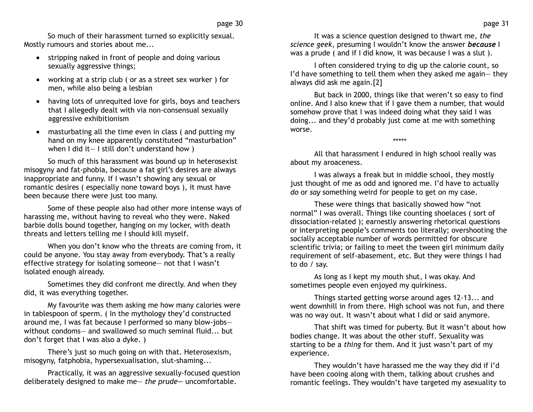So much of their harassment turned so explicitly sexual. Mostly rumours and stories about me...

- stripping naked in front of people and doing various sexually aggressive things;
- working at a strip club ( or as a street sex worker ) for men, while also being a lesbian
- having lots of unrequited love for girls, boys and teachers that I allegedly dealt with via non-consensual sexually aggressive exhibitionism
- masturbating all the time even in class ( and putting my hand on my knee apparently constituted "masturbation" when I did it— I still don't understand how )

So much of this harassment was bound up in heterosexist misogyny and fat-phobia, because a fat girl's desires are always inappropriate and funny. If I wasn't showing any sexual or romantic desires ( especially none toward boys ), it must have been because there were just too many.

Some of these people also had other more intense ways of harassing me, without having to reveal who they were. Naked barbie dolls bound together, hanging on my locker, with death threats and letters telling me I should kill myself.

When you don't know who the threats are coming from, it could be anyone. You stay away from everybody. That's a really effective strategy for isolating someone— not that I wasn't isolated enough already.

Sometimes they did confront me directly. And when they did, it was everything together.

My favourite was them asking me how many calories were in tablespoon of sperm. ( In the mythology they'd constructed around me, I was fat because I performed so many blow-jobs without condoms— and swallowed so much seminal fluid... but don't forget that I was also a dyke. )

There's just so much going on with that. Heterosexism, misogyny, fatphobia, hypersexualisation, slut-shaming...

Practically, it was an aggressive sexually-focused question deliberately designed to make me— *the prude—* uncomfortable.

It was a science question designed to thwart me, *the science geek*, presuming I wouldn't know the answer *because* I was a prude ( and if I did know, it was because I was a slut ).

I often considered trying to dig up the calorie count, so I'd have something to tell them when they asked me again— they always did ask me again.[2]

But back in 2000, things like that weren't so easy to find online. And I also knew that if I gave them a number, that would somehow prove that I was indeed doing what they said I was doing... and they'd probably just come at me with something worse.

\*\*\*\*\*

All that harassment I endured in high school really was about my aroaceness.

I was always a freak but in middle school, they mostly just thought of me as odd and ignored me. I'd have to actually *do* or *say* something weird for people to get on my case.

These were things that basically showed how "not normal" I was overall. Things like counting shoelaces ( sort of dissociation-related ); earnestly answering rhetorical questions or interpreting people's comments too literally; overshooting the socially acceptable number of words permitted for obscure scientific trivia; or failing to meet the tween girl minimum daily requirement of self-abasement, etc. But they were things I had to do / say.

As long as I kept my mouth shut, I was okay. And sometimes people even enjoyed my quirkiness.

Things started getting worse around ages 12-13... and went downhill in from there. High school was not fun, and there was no way out. It wasn't about what I did or said anymore.

That shift was timed for puberty. But it wasn't about how bodies change. It was about the other stuff. Sexuality was starting to be a *thing* for them. And it just wasn't part of my experience.

They wouldn't have harassed me the way they did if I'd have been cooing along with them, talking about crushes and romantic feelings. They wouldn't have targeted my asexuality to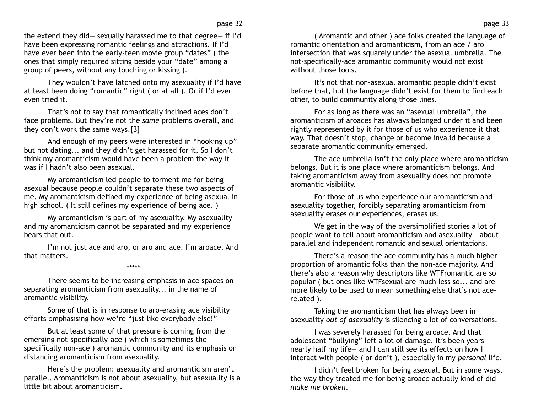the extend they did— sexually harassed me to that degree— if I'd have been expressing romantic feelings and attractions. If I'd have ever been into the early-teen movie group "dates" ( the ones that simply required sitting beside your "date" among a group of peers, without any touching or kissing ).

They wouldn't have latched onto my asexuality if I'd have at least been doing "romantic" right ( or at all ). Or if I'd ever even tried it.

That's not to say that romantically inclined aces don't face problems. But they're not the *same* problems overall, and they don't work the same ways.[3]

And enough of my peers were interested in "hooking up" but not dating... and they didn't get harassed for it. So I don't think my aromanticism would have been a problem the way it was if I hadn't also been asexual.

My aromanticism led people to torment me for being asexual because people couldn't separate these two aspects of me. My aromanticism defined my experience of being asexual in high school. ( It still defines my experience of being ace. )

My aromanticism is part of my asexuality. My asexuality and my aromanticism cannot be separated and my experience bears that out.

I'm not just ace and aro, or aro and ace. I'm aroace. And that matters.

### \*\*\*\*\*

There seems to be increasing emphasis in ace spaces on separating aromanticism from asexuality... in the name of aromantic visibility.

Some of that is in response to aro-erasing ace visibility efforts emphasising how we're "just like everybody else!"

But at least some of that pressure is coming from the emerging not-specifically-ace ( which is sometimes the specifically non-ace ) aromantic community and its emphasis on distancing aromanticism from asexuality.

Here's the problem: asexuality and aromanticism aren't parallel. Aromanticism is not about asexuality, but asexuality is a little bit about aromanticism.

( Aromantic and other ) ace folks created the language of romantic orientation and aromanticism, from an ace / aro intersection that was squarely under the asexual umbrella. The not-specifically-ace aromantic community would not exist without those tools.

It's not that non-asexual aromantic people didn't exist before that, but the language didn't exist for them to find each other, to build community along those lines.

For as long as there was an "asexual umbrella", the aromanticism of aroaces has always belonged under it and been rightly represented by it for those of us who experience it that way. That doesn't stop, change or become invalid because a separate aromantic community emerged.

The ace umbrella isn't the only place where aromanticism belongs. But it is one place where aromanticism belongs. And taking aromanticism away from asexuality does not promote aromantic visibility.

For those of us who experience our aromanticism and asexuality together, forcibly separating aromanticism from asexuality erases our experiences, erases us.

We get in the way of the oversimplified stories a lot of people want to tell about aromanticism and asexuality— about parallel and independent romantic and sexual orientations.

There's a reason the ace community has a much higher proportion of aromantic folks than the non-ace majority. And there's also a reason why descriptors like WTFromantic are so popular ( but ones like WTFsexual are much less so... and are more likely to be used to mean something else that's not acerelated ).

Taking the aromanticism that has always been in asexuality *out of asexuality* is silencing a lot of conversations.

I was severely harassed for being aroace. And that adolescent "bullying" left a lot of damage. It's been years nearly half my life— and I can still see its effects on how I interact with people ( or don't ), especially in my *personal* life.

I didn't feel broken for being asexual. But in some ways, the way they treated me for being aroace actually kind of did *make me broken*.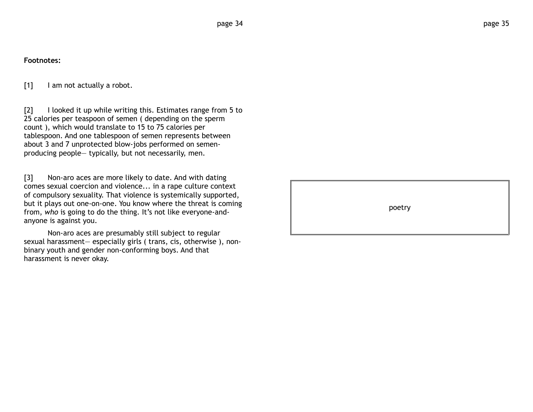# **Footnotes:**

[1] I am not actually a robot.

[2] I looked it up while writing this. Estimates range from 5 to 25 calories per teaspoon of semen ( depending on the sperm count ), which would translate to 15 to 75 calories per tablespoon. And one tablespoon of semen represents between about 3 and 7 unprotected blow-jobs performed on semenproducing people— typically, but not necessarily, men.

[3] Non-aro aces are more likely to date. And with dating comes sexual coercion and violence... in a rape culture context of compulsory sexuality. That violence is systemically supported, but it plays out one-on-one. You know where the threat is coming from, *who* is going to do the thing. It's not like everyone-andanyone is against you.

Non-aro aces are presumably still subject to regular sexual harassment— especially girls ( trans, cis, otherwise ), nonbinary youth and gender non-conforming boys. And that harassment is never okay.

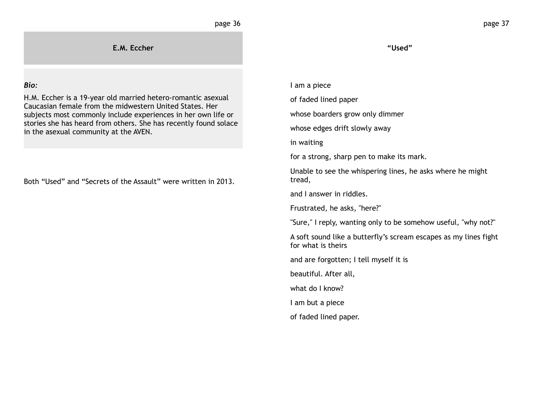**E.M. Eccher**

## *Bio:*

H.M. Eccher is a 19-year old married hetero-romantic asexual Caucasian female from the midwestern United States. Her subjects most commonly include experiences in her own life or stories she has heard from others. She has recently found solace in the asexual community at the AVEN.

Both "Used" and "Secrets of the Assault" were written in 2013.

**"Used"**

I am a piece

of faded lined paper

whose boarders grow only dimmer

whose edges drift slowly away

in waiting

for a strong, sharp pen to make its mark.

Unable to see the whispering lines, he asks where he might tread,

and I answer in riddles.

Frustrated, he asks, "here?"

"Sure," I reply, wanting only to be somehow useful, "why not?"

A soft sound like a butterfly's scream escapes as my lines fight for what is theirs

and are forgotten; I tell myself it is

beautiful. After all,

what do I know?

I am but a piece

of faded lined paper.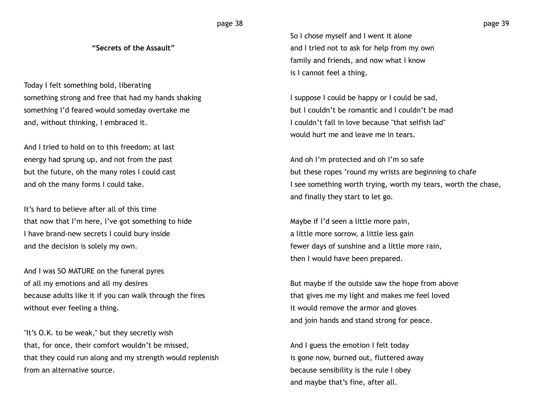## page 38

### **"Secrets of the Assault"**

Today I felt something bold, liberating something strong and free that had my hands shaking something I'd feared would someday overtake me and, without thinking, I embraced it.

And I tried to hold on to this freedom; at last energy had sprung up, and not from the past but the future, oh the many roles I could cast and oh the many forms I could take.

It's hard to believe after all of this time that now that I'm here, I've got something to hide I have brand-new secrets I could bury inside and the decision is solely my own.

And I was SO MATURE on the funeral pyres of all my emotions and all my desires because adults like it if you can walk through the fires without ever feeling a thing.

"It's O.K. to be weak," but they secretly wish that, for once, their comfort wouldn't be missed, that they could run along and my strength would replenish from an alternative source.

So I chose myself and I went it alone and I tried not to ask for help from my own family and friends, and now what I know is I cannot feel a thing.

I suppose I could be happy or I could be sad, but I couldn't be romantic and I couldn't be mad I couldn't fall in love because "that selfish lad" would hurt me and leave me in tears.

And oh I'm protected and oh I'm so safe but these ropes 'round my wrists are beginning to chafe I see something worth trying, worth my tears, worth the chase, and finally they start to let go.

Maybe if I'd seen a little more pain, a little more sorrow, a little less gain fewer days of sunshine and a little more rain, then I would have been prepared.

But maybe if the outside saw the hope from above that gives me my light and makes me feel loved it would remove the armor and gloves and join hands and stand strong for peace.

And I guess the emotion I felt today is gone now, burned out, fluttered away because sensibility is the rule I obey and maybe that's fine, after all.